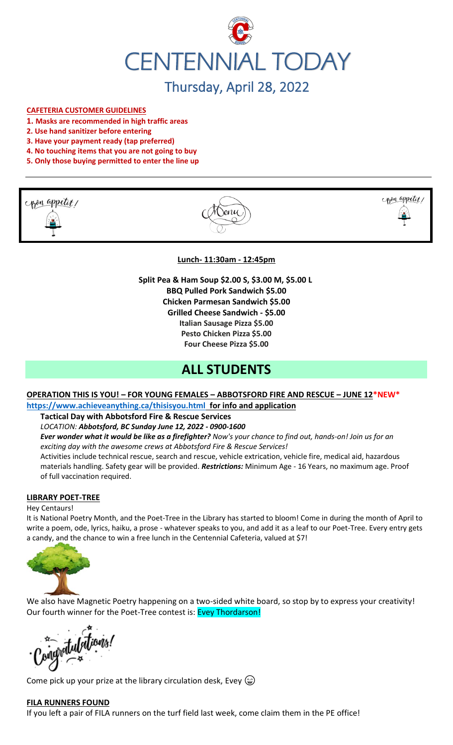

## **CAFETERIA CUSTOMER GUIDELINES**

- **1. Masks are recommended in high traffic areas**
- **2. Use hand sanitizer before entering**
- **3. Have your payment ready (tap preferred)**
- **4. No touching items that you are not going to buy**
- **5. Only those buying permitted to enter the line up**







#### **Lunch- 11:30am - 12:45pm**

**Split Pea & Ham Soup \$2.00 S, \$3.00 M, \$5.00 L BBQ Pulled Pork Sandwich \$5.00 Chicken Parmesan Sandwich \$5.00 Grilled Cheese Sandwich - \$5.00 Italian Sausage Pizza \$5.00 Pesto Chicken Pizza \$5.00 Four Cheese Pizza \$5.00**

## **ALL STUDENTS**

## **OPERATION THIS IS YOU! – FOR YOUNG FEMALES – ABBOTSFORD FIRE AND RESCUE – JUNE 12\*NEW\* <https://www.achieveanything.ca/thisisyou.html> for info and application**

**Tactical Day with Abbotsford Fire & Rescue Services**

*LOCATION: Abbotsford, BC Sunday June 12, 2022 - 0900-1600*

*Ever wonder what it would be like as a firefighter? Now's your chance to find out, hands-on! Join us for an exciting day with the awesome crews at Abbotsford Fire & Rescue Services!* 

Activities include technical rescue, search and rescue, vehicle extrication, vehicle fire, medical aid, hazardous materials handling. Safety gear will be provided. *Restrictions:* Minimum Age - 16 Years, no maximum age. Proof of full vaccination required.

#### **LIBRARY POET-TREE**

#### Hey Centaurs!

It is National Poetry Month, and the Poet-Tree in the Library has started to bloom! Come in during the month of April to write a poem, ode, lyrics, haiku, a prose - whatever speaks to you, and add it as a leaf to our Poet-Tree. Every entry gets a candy, and the chance to win a free lunch in the Centennial Cafeteria, valued at \$7!



We also have Magnetic Poetry happening on a two-sided white board, so stop by to express your creativity! Our fourth winner for the Poet-Tree contest is: Evey Thordarson!

ingvatulations

Come pick up your prize at the library circulation desk, Evey  $\circledcirc$ 

#### **FILA RUNNERS FOUND**

If you left a pair of FILA runners on the turf field last week, come claim them in the PE office!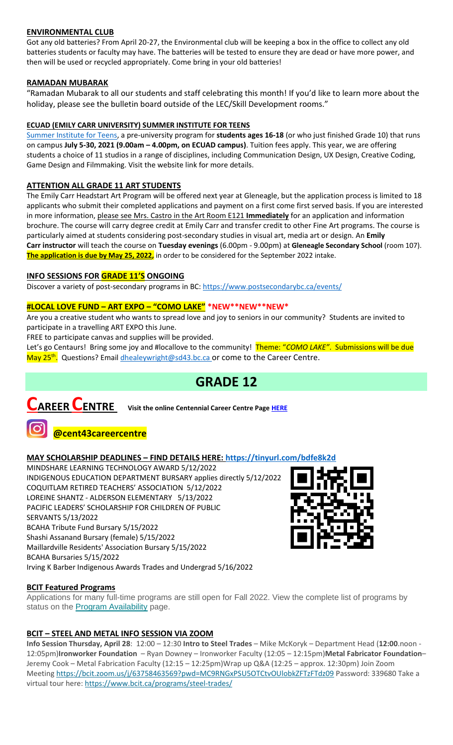## **ENVIRONMENTAL CLUB**

Got any old batteries? From April 20-27, the Environmental club will be keeping a box in the office to collect any old batteries students or faculty may have. The batteries will be tested to ensure they are dead or have more power, and then will be used or recycled appropriately. Come bring in your old batteries!

## **RAMADAN MUBARAK**

"Ramadan Mubarak to all our students and staff celebrating this month! If you'd like to learn more about the holiday, please see the bulletin board outside of the LEC/Skill Development rooms."

## **ECUAD (EMILY CARR UNIVERSITY) SUMMER INSTITUTE FOR TEENS**

[Summer Institute for Teens,](https://www.ecuad.ca/academics/teen-programs/summer-institute-for-teens) a pre-university program for **students ages 16-18** (or who just finished Grade 10) that runs on campus **July 5-30, 2021 (9.00am – 4.00pm, on ECUAD campus)**. Tuition fees apply. This year, we are offering students a choice of 11 studios in a range of disciplines, including Communication Design, UX Design, Creative Coding, Game Design and Filmmaking. Visit the website link for more details.

#### **ATTENTION ALL GRADE 11 ART STUDENTS**

The Emily Carr Headstart Art Program will be offered next year at Gleneagle, but the application process is limited to 18 applicants who submit their completed applications and payment on a first come first served basis. If you are interested in more information, please see Mrs. Castro in the Art Room E121 **Immediately** for an application and information brochure. The course will carry degree credit at Emily Carr and transfer credit to other Fine Art programs. The course is particularly aimed at students considering post-secondary studies in visual art, media art or design. An **Emily Carr instructor** will teach the course on **Tuesday evenings** (6.00pm - 9.00pm) at **Gleneagle Secondary School** (room 107). **The application is due by May 25, 2022,** in order to be considered for the September 2022 intake.

## **INFO SESSIONS FOR GRADE 11'S ONGOING**

Discover a variety of post-secondary programs in BC:<https://www.postsecondarybc.ca/events/>

## **#LOCAL LOVE FUND – ART EXPO – "COMO LAKE" \*NEW\*\*NEW\*\*NEW\***

Are you a creative student who wants to spread love and joy to seniors in our community? Students are invited to participate in a travelling ART EXPO this June.

FREE to participate canvas and supplies will be provided.

Let's go Centaurs! Bring some joy and #locallove to the community! Theme: "*COMO LAKE"*. Submissions will be due May 25<sup>th</sup>. Questions? Emai[l dhealeywright@sd43.bc.ca](mailto:dhealeywright@sd43.bc.ca) or come to the Career Centre.

# **GRADE 12**



**CAREER CENTRE Visit the online Centennial Career Centre Page [HERE](https://www.sd43.bc.ca/school/centennial/ProgramsServices/CareerCentre/experiences/Pages/default.aspx#/=)**



## **@cent43careercentre**

## **MAY SCHOLARSHIP DEADLINES – FIND DETAILS HERE:<https://tinyurl.com/bdfe8k2d>**

MINDSHARE LEARNING TECHNOLOGY AWARD 5/12/2022 INDIGENOUS EDUCATION DEPARTMENT BURSARY applies directly 5/12/2022 COQUITLAM RETIRED TEACHERS' ASSOCIATION 5/12/2022 LOREINE SHANTZ - ALDERSON ELEMENTARY 5/13/2022 PACIFIC LEADERS' SCHOLARSHIP FOR CHILDREN OF PUBLIC SERVANTS 5/13/2022 BCAHA Tribute Fund Bursary 5/15/2022 Shashi Assanand Bursary (female) 5/15/2022 Maillardville Residents' Association Bursary 5/15/2022 BCAHA Bursaries 5/15/2022 Irving K Barber Indigenous Awards Trades and Undergrad 5/16/2022

## **BCIT Featured Programs**

Applications for many full-time programs are still open for Fall 2022. View the complete list of programs by status on the **[Program Availability](https://bcit.us8.list-manage.com/track/click?u=daf05330755626307efc8f07f&id=4d4ed36616&e=b29846f095)** page.

## **BCIT – STEEL AND METAL INFO SESSION VIA ZOOM**

**Info Session Thursday, April 28**: 12:00 – 12:30 **Intro to Steel Trades** – Mike McKoryk – Department Head (**12:00**.noon - 12:05pm)**Ironworker Foundation** – Ryan Downey – Ironworker Faculty (12:05 – 12:15pm)**Metal Fabricator Foundation**– Jeremy Cook – Metal Fabrication Faculty (12:15 – 12:25pm)Wrap up Q&A (12:25 – approx. 12:30pm) Join Zoom Meeting <https://bcit.zoom.us/j/63758463569?pwd=MC9RNGxPSU5OTCtvOUlobkZFTzFTdz09> Password: 339680 Take a virtual tour here: <https://www.bcit.ca/programs/steel-trades/>

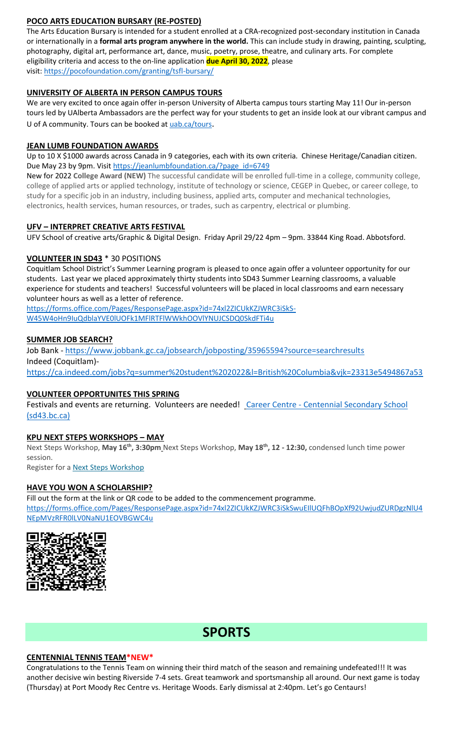## **POCO ARTS EDUCATION BURSARY (RE-POSTED)**

The Arts Education Bursary is intended for a student enrolled at a CRA-recognized post-secondary institution in Canada or internationally in a **formal arts program anywhere in the world.** This can include study in drawing, painting, sculpting, photography, digital art, performance art, dance, music, poetry, prose, theatre, and culinary arts. For complete eligibility criteria and access to the on-line application **due April 30, 2022**, please visit: <https://pocofoundation.com/granting/tsfl-bursary/>

## **UNIVERSITY OF ALBERTA IN PERSON CAMPUS TOURS**

We are very excited to once again offer in-person University of Alberta campus tours starting May 11! Our in-person tours led by UAlberta Ambassadors are the perfect way for your students to get an inside look at our vibrant campus and U of A community. Tours can be booked at [uab.ca/tours](https://mx.technolutions.net/ss/c/gsby7xed_Q9kJKoUKuDGdBFBFhSssENYnEfiUuIzPCfFN0X3A85kPAIgyq7RiYgwd5ks3dapUcNxO2ND8vSVBYrkONj16vS1goC-KNmxqyzPGiP84ZPhBolxXehOVvJJoIydTyO79MzKzKWEvLKFkm_yV9EI63wdit-4TgQQwdxB7q-F7wKO6B1l7qPTTQqEY4-sfMYxk0jPxb8_vnjcU8J1KalNzAYWqvZsue4RhUs/3li/fiXawEMdS5CpVDRHZJ_kGA/h1/NOtRtynrGGfbhYYaY88O-aXOwt_ymLOenqdLtTeBrnQ).

#### **JEAN LUMB FOUNDATION AWARDS**

Up to 10 X \$1000 awards across Canada in 9 categories, each with its own criteria. Chinese Heritage/Canadian citizen. Due May 23 by 9pm. Visi[t https://jeanlumbfoundation.ca/?page\\_id=6749](https://jeanlumbfoundation.ca/?page_id=6749)

New for 2022 **College Award (NEW)** The successful candidate will be enrolled full-time in a college, community college, college of applied arts or applied technology, institute of technology or science, CEGEP in Quebec, or career college, to study for a specific job in an industry, including business, applied arts, computer and mechanical technologies, electronics, health services, human resources, or trades, such as carpentry, electrical or plumbing.

## **UFV – INTERPRET CREATIVE ARTS FESTIVAL**

UFV School of creative arts/Graphic & Digital Design. Friday April 29/22 4pm – 9pm. 33844 King Road. Abbotsford.

#### **VOLUNTEER IN SD43** \* 30 POSITIONS

Coquitlam School District's Summer Learning program is pleased to once again offer a volunteer opportunity for our students. Last year we placed approximately thirty students into SD43 Summer Learning classrooms, a valuable experience for students and teachers! Successful volunteers will be placed in local classrooms and earn necessary volunteer hours as well as a letter of reference.

[https://forms.office.com/Pages/ResponsePage.aspx?id=74xl2ZICUkKZJWRC3iSkS-](https://forms.office.com/Pages/ResponsePage.aspx?id=74xl2ZICUkKZJWRC3iSkS-W45W4oHn9IuQdblaYVE0lUOFk1MFlRTFlWWkhOOVlYNUJCSDQ0SkdFTi4u)[W45W4oHn9IuQdblaYVE0lUOFk1MFlRTFlWWkhOOVlYNUJCSDQ0SkdFTi4u](https://forms.office.com/Pages/ResponsePage.aspx?id=74xl2ZICUkKZJWRC3iSkS-W45W4oHn9IuQdblaYVE0lUOFk1MFlRTFlWWkhOOVlYNUJCSDQ0SkdFTi4u)

#### **SUMMER JOB SEARCH?**

Job Bank - <https://www.jobbank.gc.ca/jobsearch/jobposting/35965594?source=searchresults> Indeed (Coquitlam) <https://ca.indeed.com/jobs?q=summer%20student%202022&l=British%20Columbia&vjk=23313e5494867a53>

## **VOLUNTEER OPPORTUNITES THIS SPRING**

Festivals and events are returning. Volunteers are needed! Career Centre - [Centennial Secondary School](https://www.sd43.bc.ca/school/centennial/ProgramsServices/CareerCentre/experiences/Pages/default.aspx#/=) [\(sd43.bc.ca\)](https://www.sd43.bc.ca/school/centennial/ProgramsServices/CareerCentre/experiences/Pages/default.aspx#/=)

## **KPU NEXT STEPS WORKSHOPS – MAY**

Next Steps Workshop, **May 16th, 3:30pm** Next Steps Workshop, **May 18th, 12 - 12:30,** condensed lunch time power session.

Register for a [Next Steps Workshop](http://crm-link.kpu.ca/c/7/eyJhaSI6MTY0ODQwMjEsImUiOiJkaGVhbGV5d3JpZ2h0QHNkNDMuYmMuY2EiLCJyaSI6ImNvbnRhY3QtNGZkMzgzYmJkZmY3ZWExMWE4MTUwMDBkM2EwYzhjNmQtZDI5MWU3MGZkMWYyNDJlYjk5OGU2OTFmYjc2ZGZmMjMiLCJycSI6IjAyLWIyMjEwMy0zOTg5OTViYTI1NGQ0NDE2YjBlMDQyODJkZjY3MTlhNiIsInBoIjpudWxsLCJtIjpmYWxzZSwidWkiOiIyIiwidW4iOiIiLCJ1IjoiaHR0cHM6Ly93d3cua3B1LmNhL2luZm8tc2Vzc2lvbnMvZnV0dXJlLXN0dWRlbnRzL25leHQtc3RlcHMvbWF5LTIwMjI_X2NsZGVlPVpNTFlTR1BPYXdvdUI0T0xzQnBsUHZFU0g1eUhvbnhCQlpuNFlnYzRINkV6V0ZWOVpLUWpKTmxic0hFM3RVQmImcmVjaXBpZW50aWQ9Y29udGFjdC00ZmQzODNiYmRmZjdlYTExYTgxNTAwMGQzYTBjOGM2ZC1kMjkxZTcwZmQxZjI0MmViOTk4ZTY5MWZiNzZkZmYyMyZlc2lkPTFkZmIzOThiLTRiYmItZWMxMS05ODNmLTAwMjI0ODNjYzE1YSJ9/SBu6RJHIXI6GRb2GoyGQMA)

# **HAVE YOU WON A SCHOLARSHIP?**

Fill out the form at the link or QR code to be added to the commencement programme. [https://forms.office.com/Pages/ResponsePage.aspx?id=74xl2ZICUkKZJWRC3iSkSwuEIlUQFhBOpXf92UwjudZURDgzNlU4](https://forms.office.com/Pages/ResponsePage.aspx?id=74xl2ZICUkKZJWRC3iSkSwuEIlUQFhBOpXf92UwjudZURDgzNlU4NEpMVzRFR0lLV0NaNU1EOVBGWC4u) [NEpMVzRFR0lLV0NaNU1EOVBGWC4u](https://forms.office.com/Pages/ResponsePage.aspx?id=74xl2ZICUkKZJWRC3iSkSwuEIlUQFhBOpXf92UwjudZURDgzNlU4NEpMVzRFR0lLV0NaNU1EOVBGWC4u)



# **SPORTS**

#### **CENTENNIAL TENNIS TEAM\*NEW\***

Congratulations to the Tennis Team on winning their third match of the season and remaining undefeated!!! It was another decisive win besting Riverside 7-4 sets. Great teamwork and sportsmanship all around. Our next game is today (Thursday) at Port Moody Rec Centre vs. Heritage Woods. Early dismissal at 2:40pm. Let's go Centaurs!